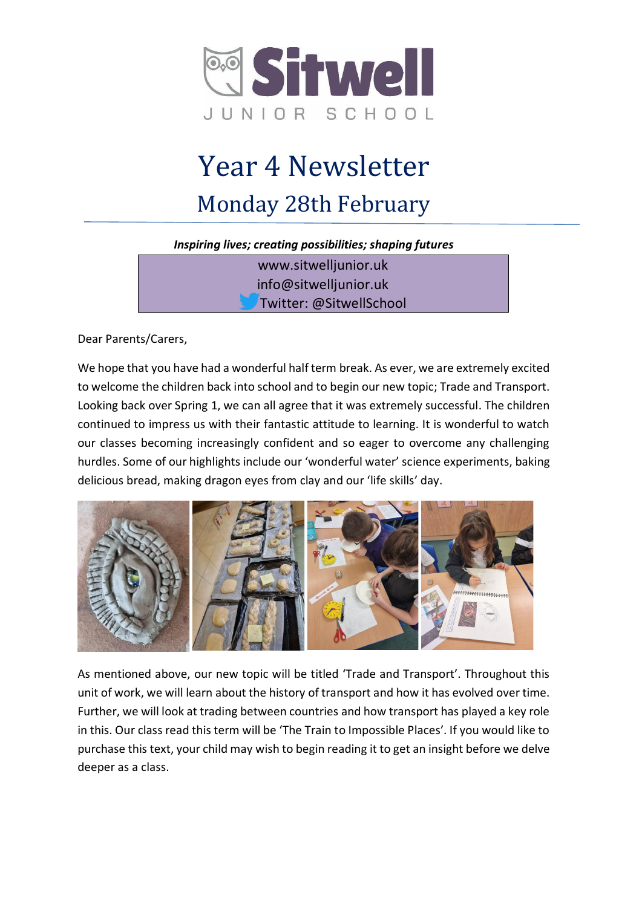

# Year 4 Newsletter Monday 28th February

*Inspiring lives; creating possibilities; shaping futures*

www.sitwelljunior.uk info@sitwelljunior.uk Twitter: @SitwellSchool

Dear Parents/Carers,

We hope that you have had a wonderful half term break. As ever, we are extremely excited to welcome the children back into school and to begin our new topic; Trade and Transport. Looking back over Spring 1, we can all agree that it was extremely successful. The children continued to impress us with their fantastic attitude to learning. It is wonderful to watch our classes becoming increasingly confident and so eager to overcome any challenging hurdles. Some of our highlights include our 'wonderful water' science experiments, baking delicious bread, making dragon eyes from clay and our 'life skills' day.



As mentioned above, our new topic will be titled 'Trade and Transport'. Throughout this unit of work, we will learn about the history of transport and how it has evolved over time. Further, we will look at trading between countries and how transport has played a key role in this. Our class read this term will be 'The Train to Impossible Places'. If you would like to purchase this text, your child may wish to begin reading it to get an insight before we delve deeper as a class.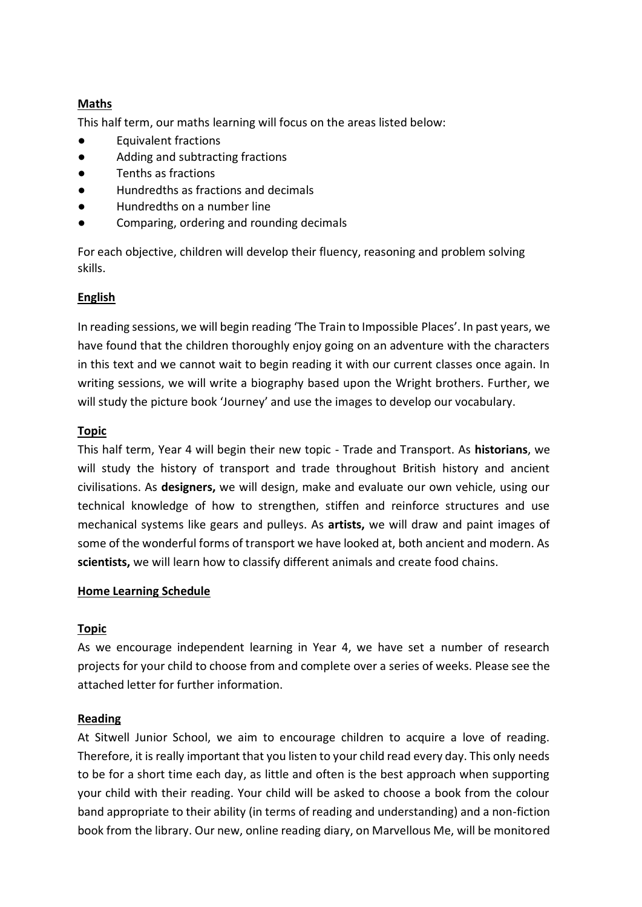# **Maths**

This half term, our maths learning will focus on the areas listed below:

- **Equivalent fractions**
- Adding and subtracting fractions
- Tenths as fractions
- Hundredths as fractions and decimals
- Hundredths on a number line
- Comparing, ordering and rounding decimals

For each objective, children will develop their fluency, reasoning and problem solving skills.

## **English**

In reading sessions, we will begin reading 'The Train to Impossible Places'. In past years, we have found that the children thoroughly enjoy going on an adventure with the characters in this text and we cannot wait to begin reading it with our current classes once again. In writing sessions, we will write a biography based upon the Wright brothers. Further, we will study the picture book 'Journey' and use the images to develop our vocabulary.

## **Topic**

This half term, Year 4 will begin their new topic - Trade and Transport. As **historians**, we will study the history of transport and trade throughout British history and ancient civilisations. As **designers,** we will design, make and evaluate our own vehicle, using our technical knowledge of how to strengthen, stiffen and reinforce structures and use mechanical systems like gears and pulleys. As **artists,** we will draw and paint images of some of the wonderful forms of transport we have looked at, both ancient and modern. As **scientists,** we will learn how to classify different animals and create food chains.

#### **Home Learning Schedule**

#### **Topic**

As we encourage independent learning in Year 4, we have set a number of research projects for your child to choose from and complete over a series of weeks. Please see the attached letter for further information.

#### **Reading**

At Sitwell Junior School, we aim to encourage children to acquire a love of reading. Therefore, it is really important that you listen to your child read every day. This only needs to be for a short time each day, as little and often is the best approach when supporting your child with their reading. Your child will be asked to choose a book from the colour band appropriate to their ability (in terms of reading and understanding) and a non-fiction book from the library. Our new, online reading diary, on Marvellous Me, will be monitored